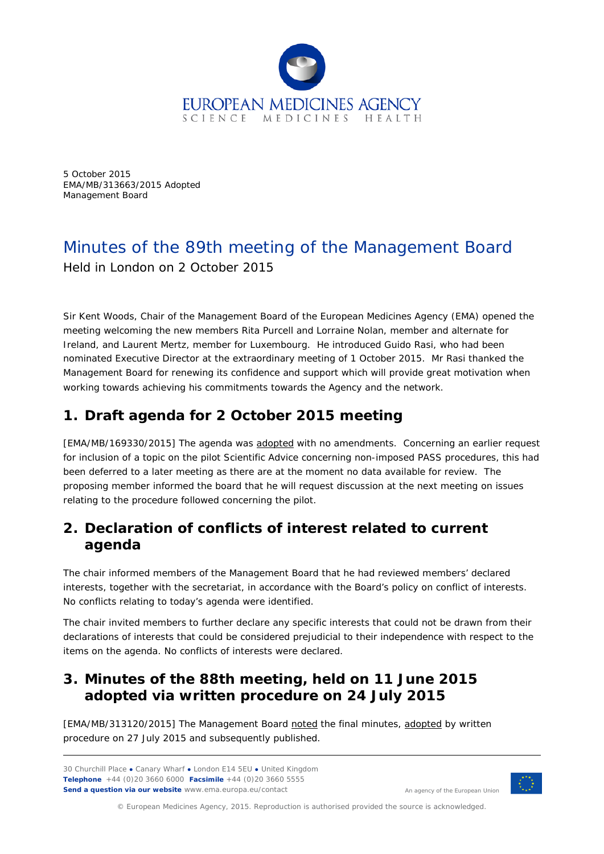

5 October 2015 EMA/MB/313663/2015 Adopted Management Board

# Minutes of the 89th meeting of the Management Board Held in London on 2 October 2015

Sir Kent Woods, Chair of the Management Board of the European Medicines Agency (EMA) opened the meeting welcoming the new members Rita Purcell and Lorraine Nolan, member and alternate for Ireland, and Laurent Mertz, member for Luxembourg. He introduced Guido Rasi, who had been nominated Executive Director at the extraordinary meeting of 1 October 2015. Mr Rasi thanked the Management Board for renewing its confidence and support which will provide great motivation when working towards achieving his commitments towards the Agency and the network.

## **1. Draft agenda for 2 October 2015 meeting**

[EMA/MB/169330/2015] The agenda was adopted with no amendments. Concerning an earlier request for inclusion of a topic on the pilot Scientific Advice concerning non-imposed PASS procedures, this had been deferred to a later meeting as there are at the moment no data available for review. The proposing member informed the board that he will request discussion at the next meeting on issues relating to the procedure followed concerning the pilot.

## **2. Declaration of conflicts of interest related to current agenda**

The chair informed members of the Management Board that he had reviewed members' declared interests, together with the secretariat, in accordance with the Board's policy on conflict of interests. No conflicts relating to today's agenda were identified.

The chair invited members to further declare any specific interests that could not be drawn from their declarations of interests that could be considered prejudicial to their independence with respect to the items on the agenda. No conflicts of interests were declared.

### **3. Minutes of the 88th meeting, held on 11 June 2015 adopted via written procedure on 24 July 2015**

[EMA/MB/313120/2015] The Management Board noted the final minutes, adopted by written procedure on 27 July 2015 and subsequently published.

30 Churchill Place **●** Canary Wharf **●** London E14 5EU **●** United Kingdom **Telephone** +44 (0)20 3660 6000 **Facsimile** +44 (0)20 3660 5555 **Send a question via our website** www.ema.europa.eu/contact



An agency of the European Union

© European Medicines Agency, 2015. Reproduction is authorised provided the source is acknowledged.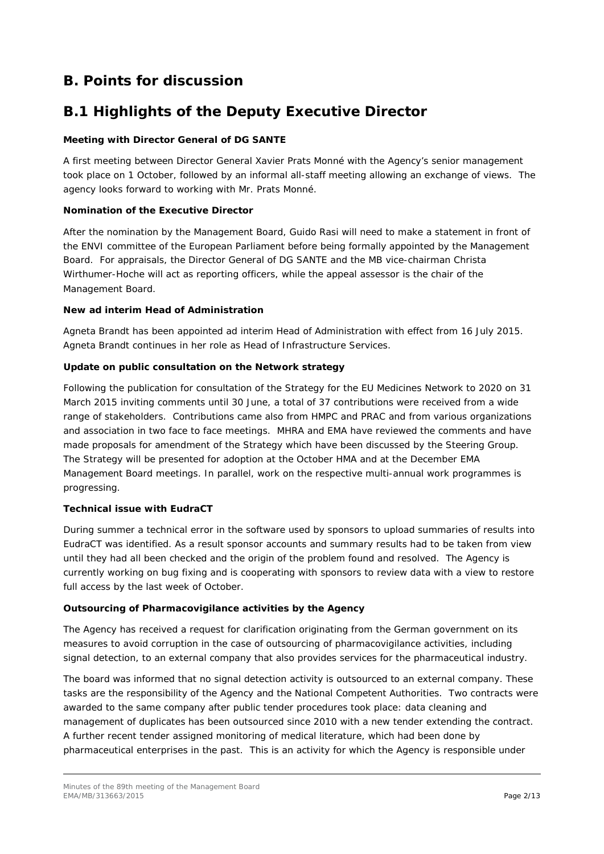## **B. Points for discussion**

## **B.1 Highlights of the Deputy Executive Director**

#### **Meeting with Director General of DG SANTE**

A first meeting between Director General Xavier Prats Monné with the Agency's senior management took place on 1 October, followed by an informal all-staff meeting allowing an exchange of views. The agency looks forward to working with Mr. Prats Monné.

#### **Nomination of the Executive Director**

After the nomination by the Management Board, Guido Rasi will need to make a statement in front of the ENVI committee of the European Parliament before being formally appointed by the Management Board. For appraisals, the Director General of DG SANTE and the MB vice-chairman Christa Wirthumer-Hoche will act as reporting officers, while the appeal assessor is the chair of the Management Board.

#### **New ad interim Head of Administration**

Agneta Brandt has been appointed ad interim Head of Administration with effect from 16 July 2015. Agneta Brandt continues in her role as Head of Infrastructure Services.

#### **Update on public consultation on the Network strategy**

Following the publication for consultation of the Strategy for the EU Medicines Network to 2020 on 31 March 2015 inviting comments until 30 June, a total of 37 contributions were received from a wide range of stakeholders. Contributions came also from HMPC and PRAC and from various organizations and association in two face to face meetings. MHRA and EMA have reviewed the comments and have made proposals for amendment of the Strategy which have been discussed by the Steering Group. The Strategy will be presented for adoption at the October HMA and at the December EMA Management Board meetings. In parallel, work on the respective multi-annual work programmes is progressing.

#### **Technical issue with EudraCT**

During summer a technical error in the software used by sponsors to upload summaries of results into EudraCT was identified. As a result sponsor accounts and summary results had to be taken from view until they had all been checked and the origin of the problem found and resolved. The Agency is currently working on bug fixing and is cooperating with sponsors to review data with a view to restore full access by the last week of October.

#### **Outsourcing of Pharmacovigilance activities by the Agency**

The Agency has received a request for clarification originating from the German government on its measures to avoid corruption in the case of outsourcing of pharmacovigilance activities, including signal detection, to an external company that also provides services for the pharmaceutical industry.

The board was informed that no signal detection activity is outsourced to an external company. These tasks are the responsibility of the Agency and the National Competent Authorities. Two contracts were awarded to the same company after public tender procedures took place: data cleaning and management of duplicates has been outsourced since 2010 with a new tender extending the contract. A further recent tender assigned monitoring of medical literature, which had been done by pharmaceutical enterprises in the past. This is an activity for which the Agency is responsible under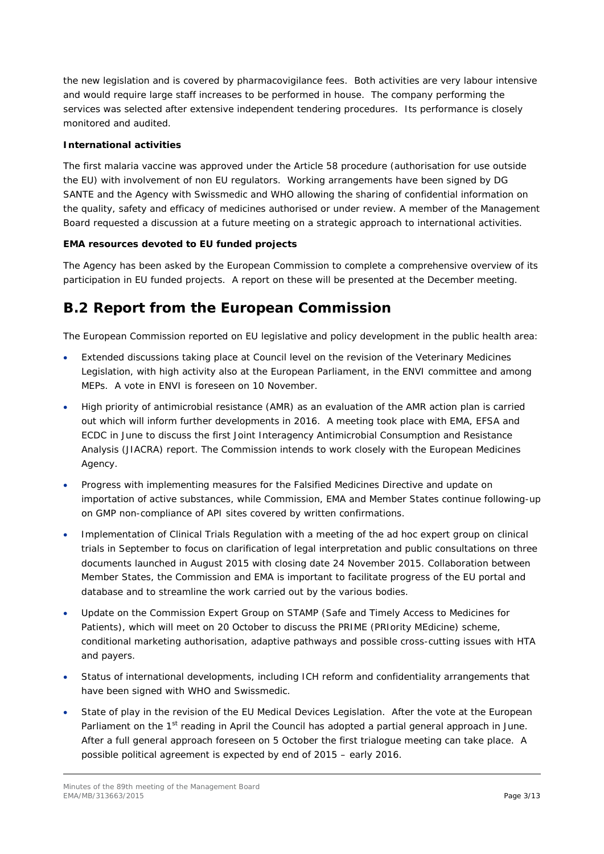the new legislation and is covered by pharmacovigilance fees. Both activities are very labour intensive and would require large staff increases to be performed in house. The company performing the services was selected after extensive independent tendering procedures. Its performance is closely monitored and audited.

#### **International activities**

The first malaria vaccine was approved under the Article 58 procedure (authorisation for use outside the EU) with involvement of non EU regulators. Working arrangements have been signed by DG SANTE and the Agency with Swissmedic and WHO allowing the sharing of confidential information on the quality, safety and efficacy of medicines authorised or under review. A member of the Management Board requested a discussion at a future meeting on a strategic approach to international activities.

#### **EMA resources devoted to EU funded projects**

The Agency has been asked by the European Commission to complete a comprehensive overview of its participation in EU funded projects. A report on these will be presented at the December meeting.

### **B.2 Report from the European Commission**

The European Commission reported on EU legislative and policy development in the public health area:

- Extended discussions taking place at Council level on the revision of the Veterinary Medicines Legislation, with high activity also at the European Parliament, in the ENVI committee and among MEPs. A vote in ENVI is foreseen on 10 November.
- High priority of antimicrobial resistance (AMR) as an evaluation of the AMR action plan is carried out which will inform further developments in 2016. A meeting took place with EMA, EFSA and ECDC in June to discuss the first Joint Interagency Antimicrobial Consumption and Resistance Analysis (JIACRA) report. The Commission intends to work closely with the European Medicines Agency.
- Progress with implementing measures for the Falsified Medicines Directive and update on importation of active substances, while Commission, EMA and Member States continue following-up on GMP non-compliance of API sites covered by written confirmations.
- Implementation of Clinical Trials Regulation with a meeting of the ad hoc expert group on clinical trials in September to focus on clarification of legal interpretation and public consultations on three documents launched in August 2015 with closing date 24 November 2015. Collaboration between Member States, the Commission and EMA is important to facilitate progress of the EU portal and database and to streamline the work carried out by the various bodies.
- Update on the Commission Expert Group on STAMP (Safe and Timely Access to Medicines for Patients), which will meet on 20 October to discuss the PRIME (PRIority MEdicine) scheme, conditional marketing authorisation, adaptive pathways and possible cross-cutting issues with HTA and payers.
- Status of international developments, including ICH reform and confidentiality arrangements that have been signed with WHO and Swissmedic.
- State of play in the revision of the EU Medical Devices Legislation. After the vote at the European Parliament on the 1<sup>st</sup> reading in April the Council has adopted a partial general approach in June. After a full general approach foreseen on 5 October the first trialogue meeting can take place. A possible political agreement is expected by end of 2015 – early 2016.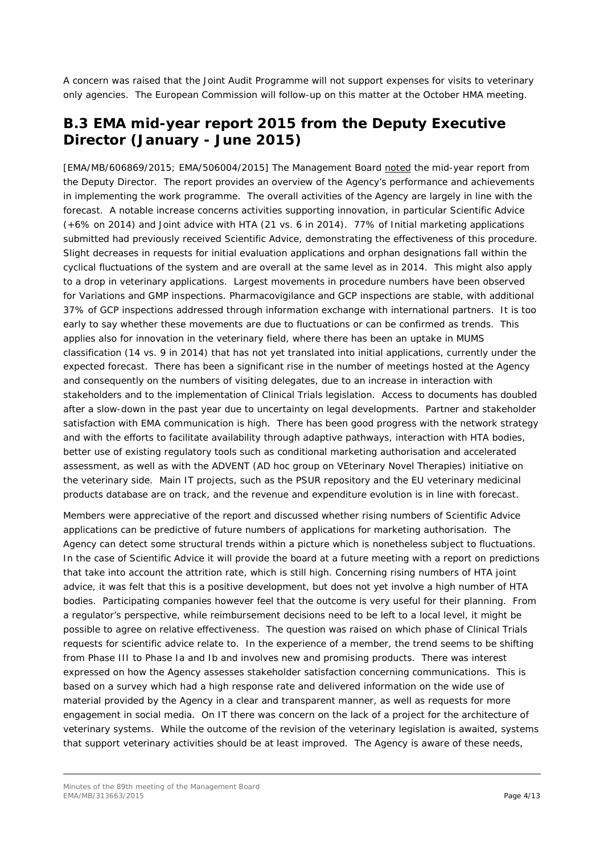A concern was raised that the Joint Audit Programme will not support expenses for visits to veterinary only agencies. The European Commission will follow-up on this matter at the October HMA meeting.

#### **B.3 EMA mid-year report 2015 from the Deputy Executive Director (January - June 2015)**

[EMA/MB/606869/2015; EMA/506004/2015] The Management Board noted the mid-year report from the Deputy Director. The report provides an overview of the Agency's performance and achievements in implementing the work programme. The overall activities of the Agency are largely in line with the forecast. A notable increase concerns activities supporting innovation, in particular Scientific Advice (+6% on 2014) and Joint advice with HTA (21 vs. 6 in 2014). 77% of Initial marketing applications submitted had previously received Scientific Advice, demonstrating the effectiveness of this procedure. Slight decreases in requests for initial evaluation applications and orphan designations fall within the cyclical fluctuations of the system and are overall at the same level as in 2014. This might also apply to a drop in veterinary applications. Largest movements in procedure numbers have been observed for Variations and GMP inspections. Pharmacovigilance and GCP inspections are stable, with additional 37% of GCP inspections addressed through information exchange with international partners. It is too early to say whether these movements are due to fluctuations or can be confirmed as trends. This applies also for innovation in the veterinary field, where there has been an uptake in MUMS classification (14 vs. 9 in 2014) that has not yet translated into initial applications, currently under the expected forecast. There has been a significant rise in the number of meetings hosted at the Agency and consequently on the numbers of visiting delegates, due to an increase in interaction with stakeholders and to the implementation of Clinical Trials legislation. Access to documents has doubled after a slow-down in the past year due to uncertainty on legal developments. Partner and stakeholder satisfaction with EMA communication is high. There has been good progress with the network strategy and with the efforts to facilitate availability through adaptive pathways, interaction with HTA bodies, better use of existing regulatory tools such as conditional marketing authorisation and accelerated assessment, as well as with the ADVENT (AD hoc group on VEterinary Novel Therapies) initiative on the veterinary side. Main IT projects, such as the PSUR repository and the EU veterinary medicinal products database are on track, and the revenue and expenditure evolution is in line with forecast.

Members were appreciative of the report and discussed whether rising numbers of Scientific Advice applications can be predictive of future numbers of applications for marketing authorisation. The Agency can detect some structural trends within a picture which is nonetheless subject to fluctuations. In the case of Scientific Advice it will provide the board at a future meeting with a report on predictions that take into account the attrition rate, which is still high. Concerning rising numbers of HTA joint advice, it was felt that this is a positive development, but does not yet involve a high number of HTA bodies. Participating companies however feel that the outcome is very useful for their planning. From a regulator's perspective, while reimbursement decisions need to be left to a local level, it might be possible to agree on relative effectiveness. The question was raised on which phase of Clinical Trials requests for scientific advice relate to. In the experience of a member, the trend seems to be shifting from Phase III to Phase Ia and Ib and involves new and promising products. There was interest expressed on how the Agency assesses stakeholder satisfaction concerning communications. This is based on a survey which had a high response rate and delivered information on the wide use of material provided by the Agency in a clear and transparent manner, as well as requests for more engagement in social media. On IT there was concern on the lack of a project for the architecture of veterinary systems. While the outcome of the revision of the veterinary legislation is awaited, systems that support veterinary activities should be at least improved. The Agency is aware of these needs,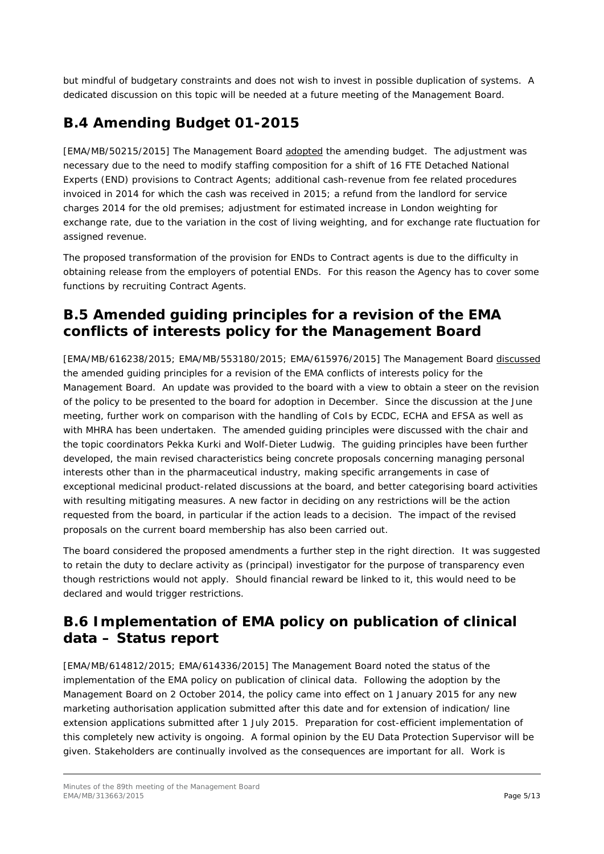but mindful of budgetary constraints and does not wish to invest in possible duplication of systems. A dedicated discussion on this topic will be needed at a future meeting of the Management Board.

## **B.4 Amending Budget 01-2015**

[EMA/MB/50215/2015] The Management Board adopted the amending budget. The adjustment was necessary due to the need to modify staffing composition for a shift of 16 FTE Detached National Experts (END) provisions to Contract Agents; additional cash-revenue from fee related procedures invoiced in 2014 for which the cash was received in 2015; a refund from the landlord for service charges 2014 for the old premises; adjustment for estimated increase in London weighting for exchange rate, due to the variation in the cost of living weighting, and for exchange rate fluctuation for assigned revenue.

The proposed transformation of the provision for ENDs to Contract agents is due to the difficulty in obtaining release from the employers of potential ENDs. For this reason the Agency has to cover some functions by recruiting Contract Agents.

### **B.5 Amended guiding principles for a revision of the EMA conflicts of interests policy for the Management Board**

[EMA/MB/616238/2015; EMA/MB/553180/2015; EMA/615976/2015] The Management Board discussed the amended guiding principles for a revision of the EMA conflicts of interests policy for the Management Board. An update was provided to the board with a view to obtain a steer on the revision of the policy to be presented to the board for adoption in December. Since the discussion at the June meeting, further work on comparison with the handling of CoIs by ECDC, ECHA and EFSA as well as with MHRA has been undertaken. The amended guiding principles were discussed with the chair and the topic coordinators Pekka Kurki and Wolf-Dieter Ludwig. The guiding principles have been further developed, the main revised characteristics being concrete proposals concerning managing personal interests other than in the pharmaceutical industry, making specific arrangements in case of exceptional medicinal product-related discussions at the board, and better categorising board activities with resulting mitigating measures. A new factor in deciding on any restrictions will be the action requested from the board, in particular if the action leads to a decision. The impact of the revised proposals on the current board membership has also been carried out.

The board considered the proposed amendments a further step in the right direction. It was suggested to retain the duty to declare activity as (principal) investigator for the purpose of transparency even though restrictions would not apply. Should financial reward be linked to it, this would need to be declared and would trigger restrictions.

## **B.6 Implementation of EMA policy on publication of clinical data – Status report**

[EMA/MB/614812/2015; EMA/614336/2015] The Management Board noted the status of the implementation of the EMA policy on publication of clinical data. Following the adoption by the Management Board on 2 October 2014, the policy came into effect on 1 January 2015 for any new marketing authorisation application submitted after this date and for extension of indication/ line extension applications submitted after 1 July 2015. Preparation for cost-efficient implementation of this completely new activity is ongoing. A formal opinion by the EU Data Protection Supervisor will be given. Stakeholders are continually involved as the consequences are important for all. Work is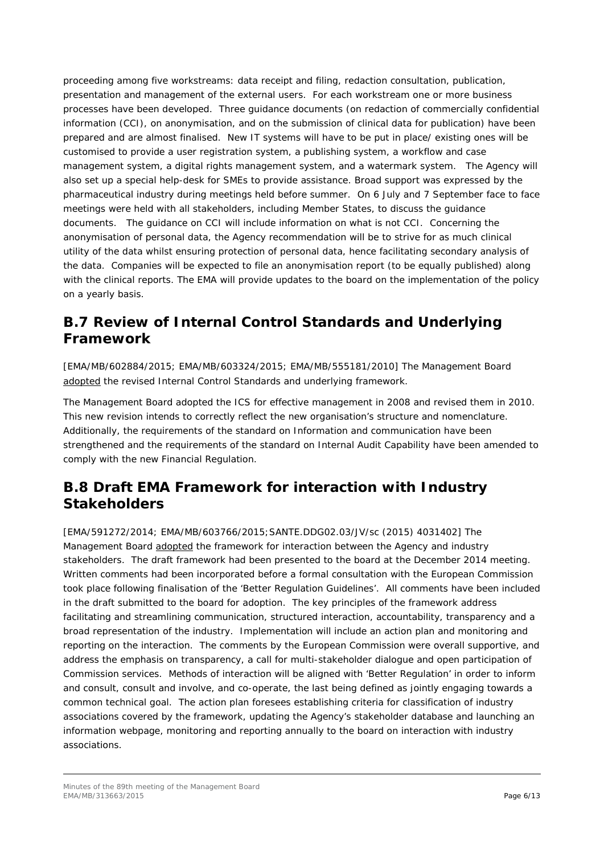proceeding among five workstreams: data receipt and filing, redaction consultation, publication, presentation and management of the external users. For each workstream one or more business processes have been developed. Three guidance documents (on redaction of commercially confidential information (CCI), on anonymisation, and on the submission of clinical data for publication) have been prepared and are almost finalised. New IT systems will have to be put in place/ existing ones will be customised to provide a user registration system, a publishing system, a workflow and case management system, a digital rights management system, and a watermark system. The Agency will also set up a special help-desk for SMEs to provide assistance. Broad support was expressed by the pharmaceutical industry during meetings held before summer. On 6 July and 7 September face to face meetings were held with all stakeholders, including Member States, to discuss the guidance documents. The guidance on CCI will include information on what is not CCI. Concerning the anonymisation of personal data, the Agency recommendation will be to strive for as much clinical utility of the data whilst ensuring protection of personal data, hence facilitating secondary analysis of the data. Companies will be expected to file an anonymisation report (to be equally published) along with the clinical reports. The EMA will provide updates to the board on the implementation of the policy on a yearly basis.

## **B.7 Review of Internal Control Standards and Underlying Framework**

[EMA/MB/602884/2015; EMA/MB/603324/2015; EMA/MB/555181/2010] The Management Board adopted the revised Internal Control Standards and underlying framework.

The Management Board adopted the ICS for effective management in 2008 and revised them in 2010. This new revision intends to correctly reflect the new organisation's structure and nomenclature. Additionally, the requirements of the standard on Information and communication have been strengthened and the requirements of the standard on Internal Audit Capability have been amended to comply with the new Financial Regulation.

## **B.8 Draft EMA Framework for interaction with Industry Stakeholders**

[EMA/591272/2014; EMA/MB/603766/2015;SANTE.DDG02.03/JV/sc (2015) 4031402] The Management Board adopted the framework for interaction between the Agency and industry stakeholders. The draft framework had been presented to the board at the December 2014 meeting. Written comments had been incorporated before a formal consultation with the European Commission took place following finalisation of the 'Better Regulation Guidelines'. All comments have been included in the draft submitted to the board for adoption. The key principles of the framework address facilitating and streamlining communication, structured interaction, accountability, transparency and a broad representation of the industry. Implementation will include an action plan and monitoring and reporting on the interaction. The comments by the European Commission were overall supportive, and address the emphasis on transparency, a call for multi-stakeholder dialogue and open participation of Commission services. Methods of interaction will be aligned with 'Better Regulation' in order to inform and consult, consult and involve, and co-operate, the last being defined as jointly engaging towards a common technical goal. The action plan foresees establishing criteria for classification of industry associations covered by the framework, updating the Agency's stakeholder database and launching an information webpage, monitoring and reporting annually to the board on interaction with industry associations.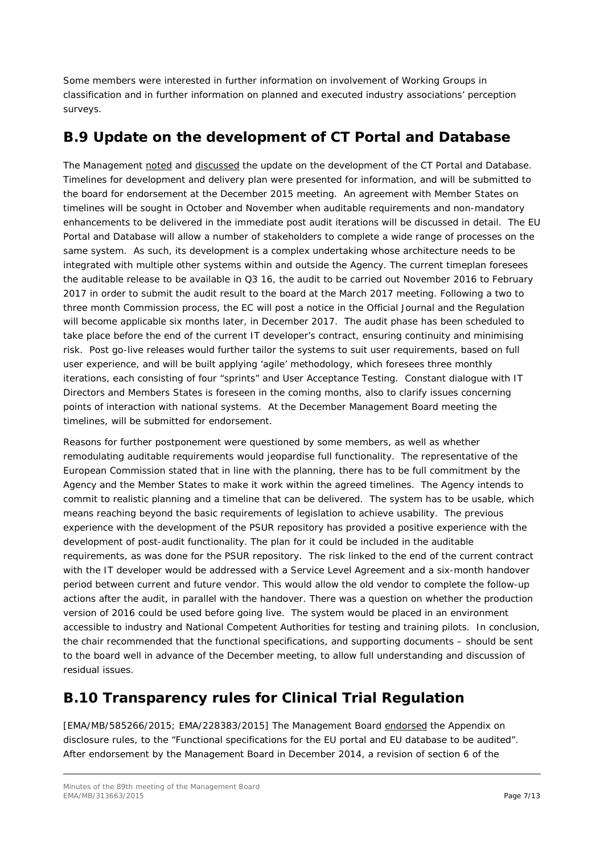Some members were interested in further information on involvement of Working Groups in classification and in further information on planned and executed industry associations' perception surveys.

### **B.9 Update on the development of CT Portal and Database**

The Management noted and discussed the update on the development of the CT Portal and Database. Timelines for development and delivery plan were presented for information, and will be submitted to the board for endorsement at the December 2015 meeting. An agreement with Member States on timelines will be sought in October and November when auditable requirements and non-mandatory enhancements to be delivered in the immediate post audit iterations will be discussed in detail. The EU Portal and Database will allow a number of stakeholders to complete a wide range of processes on the same system. As such, its development is a complex undertaking whose architecture needs to be integrated with multiple other systems within and outside the Agency. The current timeplan foresees the auditable release to be available in Q3 16, the audit to be carried out November 2016 to February 2017 in order to submit the audit result to the board at the March 2017 meeting. Following a two to three month Commission process, the EC will post a notice in the Official Journal and the Regulation will become applicable six months later, in December 2017. The audit phase has been scheduled to take place before the end of the current IT developer's contract, ensuring continuity and minimising risk. Post go-live releases would further tailor the systems to suit user requirements, based on full user experience, and will be built applying 'agile' methodology, which foresees three monthly iterations, each consisting of four "sprints" and User Acceptance Testing. Constant dialogue with IT Directors and Members States is foreseen in the coming months, also to clarify issues concerning points of interaction with national systems. At the December Management Board meeting the timelines, will be submitted for endorsement.

Reasons for further postponement were questioned by some members, as well as whether remodulating auditable requirements would jeopardise full functionality. The representative of the European Commission stated that in line with the planning, there has to be full commitment by the Agency and the Member States to make it work within the agreed timelines. The Agency intends to commit to realistic planning and a timeline that can be delivered. The system has to be usable, which means reaching beyond the basic requirements of legislation to achieve usability. The previous experience with the development of the PSUR repository has provided a positive experience with the development of post-audit functionality. The plan for it could be included in the auditable requirements, as was done for the PSUR repository. The risk linked to the end of the current contract with the IT developer would be addressed with a Service Level Agreement and a six-month handover period between current and future vendor. This would allow the old vendor to complete the follow-up actions after the audit, in parallel with the handover. There was a question on whether the production version of 2016 could be used before going live. The system would be placed in an environment accessible to industry and National Competent Authorities for testing and training pilots. In conclusion, the chair recommended that the functional specifications, and supporting documents – should be sent to the board well in advance of the December meeting, to allow full understanding and discussion of residual issues.

## **B.10 Transparency rules for Clinical Trial Regulation**

[EMA/MB/585266/2015; EMA/228383/2015] The Management Board endorsed the Appendix on disclosure rules, to the "Functional specifications for the EU portal and EU database to be audited". After endorsement by the Management Board in December 2014, a revision of section 6 of the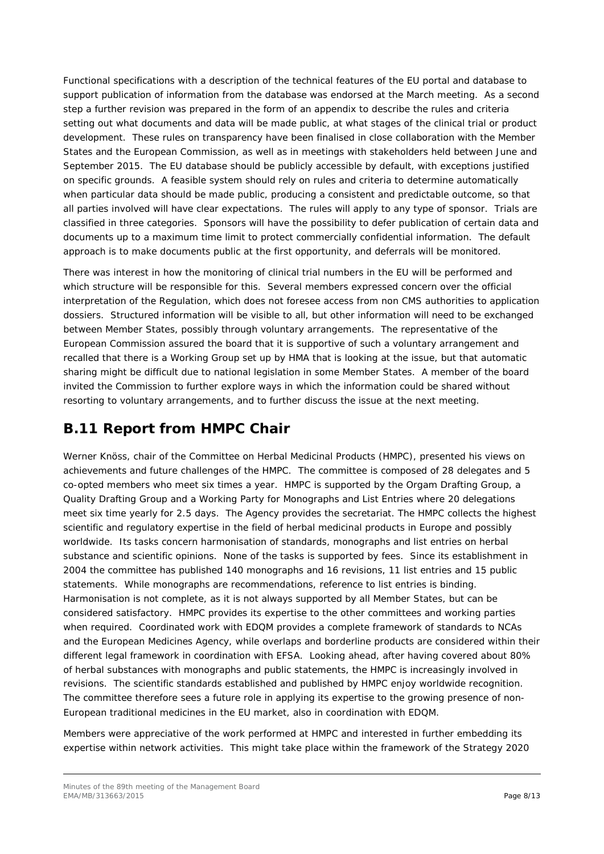Functional specifications with a description of the technical features of the EU portal and database to support publication of information from the database was endorsed at the March meeting. As a second step a further revision was prepared in the form of an appendix to describe the rules and criteria setting out what documents and data will be made public, at what stages of the clinical trial or product development. These rules on transparency have been finalised in close collaboration with the Member States and the European Commission, as well as in meetings with stakeholders held between June and September 2015. The EU database should be publicly accessible by default, with exceptions justified on specific grounds. A feasible system should rely on rules and criteria to determine automatically when particular data should be made public, producing a consistent and predictable outcome, so that all parties involved will have clear expectations. The rules will apply to any type of sponsor. Trials are classified in three categories. Sponsors will have the possibility to defer publication of certain data and documents up to a maximum time limit to protect commercially confidential information. The default approach is to make documents public at the first opportunity, and deferrals will be monitored.

There was interest in how the monitoring of clinical trial numbers in the EU will be performed and which structure will be responsible for this. Several members expressed concern over the official interpretation of the Regulation, which does not foresee access from non CMS authorities to application dossiers. Structured information will be visible to all, but other information will need to be exchanged between Member States, possibly through voluntary arrangements. The representative of the European Commission assured the board that it is supportive of such a voluntary arrangement and recalled that there is a Working Group set up by HMA that is looking at the issue, but that automatic sharing might be difficult due to national legislation in some Member States. A member of the board invited the Commission to further explore ways in which the information could be shared without resorting to voluntary arrangements, and to further discuss the issue at the next meeting.

## **B.11 Report from HMPC Chair**

Werner Knöss, chair of the Committee on Herbal Medicinal Products (HMPC), presented his views on achievements and future challenges of the HMPC. The committee is composed of 28 delegates and 5 co-opted members who meet six times a year. HMPC is supported by the Orgam Drafting Group, a Quality Drafting Group and a Working Party for Monographs and List Entries where 20 delegations meet six time yearly for 2.5 days. The Agency provides the secretariat. The HMPC collects the highest scientific and regulatory expertise in the field of herbal medicinal products in Europe and possibly worldwide. Its tasks concern harmonisation of standards, monographs and list entries on herbal substance and scientific opinions. None of the tasks is supported by fees. Since its establishment in 2004 the committee has published 140 monographs and 16 revisions, 11 list entries and 15 public statements. While monographs are recommendations, reference to list entries is binding. Harmonisation is not complete, as it is not always supported by all Member States, but can be considered satisfactory. HMPC provides its expertise to the other committees and working parties when required. Coordinated work with EDQM provides a complete framework of standards to NCAs and the European Medicines Agency, while overlaps and borderline products are considered within their different legal framework in coordination with EFSA. Looking ahead, after having covered about 80% of herbal substances with monographs and public statements, the HMPC is increasingly involved in revisions. The scientific standards established and published by HMPC enjoy worldwide recognition. The committee therefore sees a future role in applying its expertise to the growing presence of non-European traditional medicines in the EU market, also in coordination with EDQM.

Members were appreciative of the work performed at HMPC and interested in further embedding its expertise within network activities. This might take place within the framework of the Strategy 2020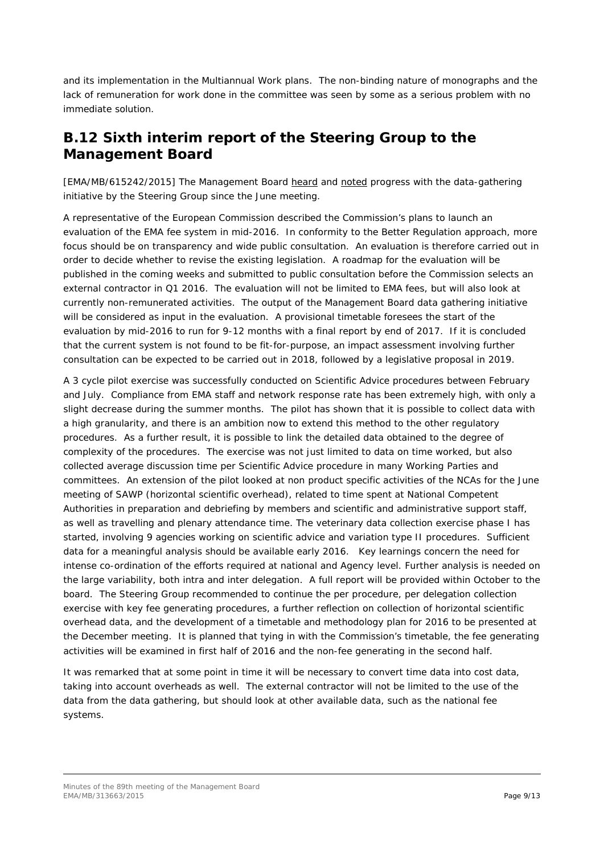and its implementation in the Multiannual Work plans. The non-binding nature of monographs and the lack of remuneration for work done in the committee was seen by some as a serious problem with no immediate solution.

### **B.12 Sixth interim report of the Steering Group to the Management Board**

[EMA/MB/615242/2015] The Management Board heard and noted progress with the data-gathering initiative by the Steering Group since the June meeting.

A representative of the European Commission described the Commission's plans to launch an evaluation of the EMA fee system in mid-2016. In conformity to the Better Regulation approach, more focus should be on transparency and wide public consultation. An evaluation is therefore carried out in order to decide whether to revise the existing legislation. A roadmap for the evaluation will be published in the coming weeks and submitted to public consultation before the Commission selects an external contractor in Q1 2016. The evaluation will not be limited to EMA fees, but will also look at currently non-remunerated activities. The output of the Management Board data gathering initiative will be considered as input in the evaluation. A provisional timetable foresees the start of the evaluation by mid-2016 to run for 9-12 months with a final report by end of 2017. If it is concluded that the current system is not found to be fit-for-purpose, an impact assessment involving further consultation can be expected to be carried out in 2018, followed by a legislative proposal in 2019.

A 3 cycle pilot exercise was successfully conducted on Scientific Advice procedures between February and July. Compliance from EMA staff and network response rate has been extremely high, with only a slight decrease during the summer months. The pilot has shown that it is possible to collect data with a high granularity, and there is an ambition now to extend this method to the other regulatory procedures. As a further result, it is possible to link the detailed data obtained to the degree of complexity of the procedures. The exercise was not just limited to data on time worked, but also collected average discussion time per Scientific Advice procedure in many Working Parties and committees. An extension of the pilot looked at non product specific activities of the NCAs for the June meeting of SAWP (horizontal scientific overhead), related to time spent at National Competent Authorities in preparation and debriefing by members and scientific and administrative support staff, as well as travelling and plenary attendance time. The veterinary data collection exercise phase I has started, involving 9 agencies working on scientific advice and variation type II procedures. Sufficient data for a meaningful analysis should be available early 2016. Key learnings concern the need for intense co-ordination of the efforts required at national and Agency level. Further analysis is needed on the large variability, both intra and inter delegation. A full report will be provided within October to the board. The Steering Group recommended to continue the per procedure, per delegation collection exercise with key fee generating procedures, a further reflection on collection of horizontal scientific overhead data, and the development of a timetable and methodology plan for 2016 to be presented at the December meeting. It is planned that tying in with the Commission's timetable, the fee generating activities will be examined in first half of 2016 and the non-fee generating in the second half.

It was remarked that at some point in time it will be necessary to convert time data into cost data, taking into account overheads as well. The external contractor will not be limited to the use of the data from the data gathering, but should look at other available data, such as the national fee systems.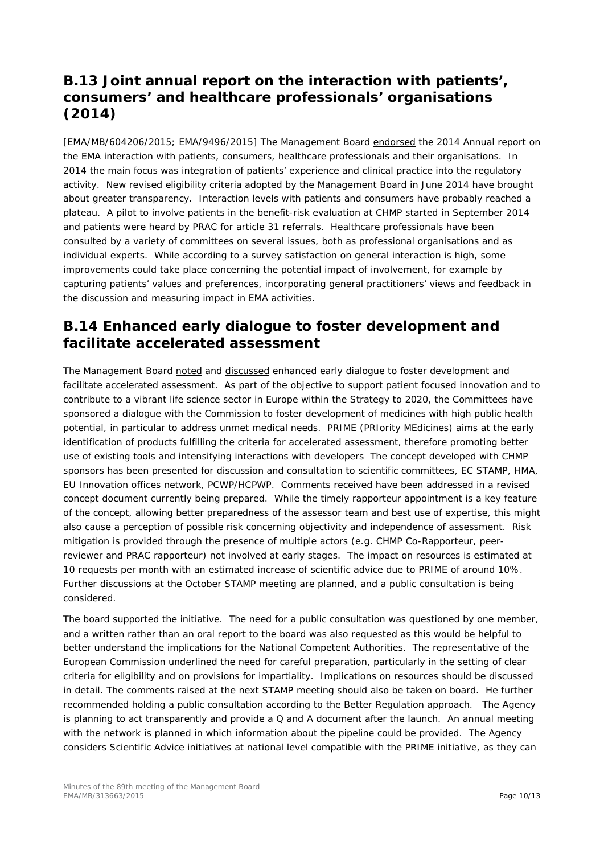### **B.13 Joint annual report on the interaction with patients', consumers' and healthcare professionals' organisations (2014)**

[EMA/MB/604206/2015; EMA/9496/2015] The Management Board endorsed the 2014 Annual report on the EMA interaction with patients, consumers, healthcare professionals and their organisations. In 2014 the main focus was integration of patients' experience and clinical practice into the regulatory activity. New revised eligibility criteria adopted by the Management Board in June 2014 have brought about greater transparency. Interaction levels with patients and consumers have probably reached a plateau. A pilot to involve patients in the benefit-risk evaluation at CHMP started in September 2014 and patients were heard by PRAC for article 31 referrals. Healthcare professionals have been consulted by a variety of committees on several issues, both as professional organisations and as individual experts. While according to a survey satisfaction on general interaction is high, some improvements could take place concerning the potential impact of involvement, for example by capturing patients' values and preferences, incorporating general practitioners' views and feedback in the discussion and measuring impact in EMA activities.

### **B.14 Enhanced early dialogue to foster development and facilitate accelerated assessment**

The Management Board noted and discussed enhanced early dialogue to foster development and facilitate accelerated assessment. As part of the objective to support patient focused innovation and to contribute to a vibrant life science sector in Europe within the Strategy to 2020, the Committees have sponsored a dialogue with the Commission to foster development of medicines with high public health potential, in particular to address unmet medical needs. PRIME (PRIority MEdicines) aims at the early identification of products fulfilling the criteria for accelerated assessment, therefore promoting better use of existing tools and intensifying interactions with developers The concept developed with CHMP sponsors has been presented for discussion and consultation to scientific committees, EC STAMP, HMA, EU Innovation offices network, PCWP/HCPWP. Comments received have been addressed in a revised concept document currently being prepared. While the timely rapporteur appointment is a key feature of the concept, allowing better preparedness of the assessor team and best use of expertise, this might also cause a perception of possible risk concerning objectivity and independence of assessment. Risk mitigation is provided through the presence of multiple actors (e.g. CHMP Co-Rapporteur, peerreviewer and PRAC rapporteur) not involved at early stages. The impact on resources is estimated at 10 requests per month with an estimated increase of scientific advice due to PRIME of around 10%. Further discussions at the October STAMP meeting are planned, and a public consultation is being considered.

The board supported the initiative. The need for a public consultation was questioned by one member, and a written rather than an oral report to the board was also requested as this would be helpful to better understand the implications for the National Competent Authorities. The representative of the European Commission underlined the need for careful preparation, particularly in the setting of clear criteria for eligibility and on provisions for impartiality. Implications on resources should be discussed in detail. The comments raised at the next STAMP meeting should also be taken on board. He further recommended holding a public consultation according to the Better Regulation approach. The Agency is planning to act transparently and provide a  $Q$  and A document after the launch. An annual meeting with the network is planned in which information about the pipeline could be provided. The Agency considers Scientific Advice initiatives at national level compatible with the PRIME initiative, as they can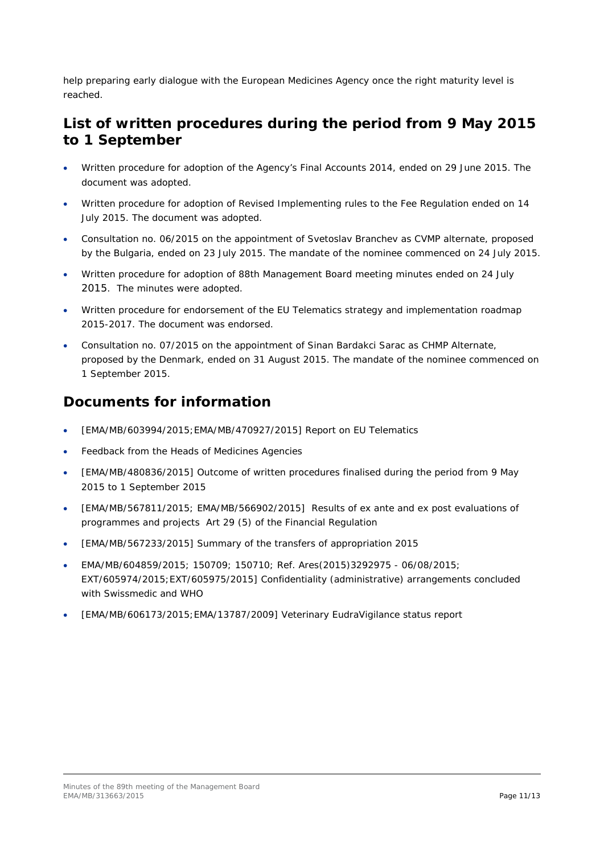help preparing early dialogue with the European Medicines Agency once the right maturity level is reached.

#### **List of written procedures during the period from 9 May 2015 to 1 September**

- Written procedure for adoption of the Agency's Final Accounts 2014, ended on 29 June 2015. The document was adopted.
- Written procedure for adoption of Revised Implementing rules to the Fee Regulation ended on 14 July 2015. The document was adopted.
- Consultation no. 06/2015 on the appointment of Svetoslav Branchev as CVMP alternate, proposed by the Bulgaria, ended on 23 July 2015. The mandate of the nominee commenced on 24 July 2015.
- Written procedure for adoption of 88th Management Board meeting minutes ended on 24 July 2015. The minutes were adopted.
- Written procedure for endorsement of the EU Telematics strategy and implementation roadmap 2015-2017. The document was endorsed.
- Consultation no. 07/2015 on the appointment of Sinan Bardakci Sarac as CHMP Alternate, proposed by the Denmark, ended on 31 August 2015. The mandate of the nominee commenced on 1 September 2015.

### **Documents for information**

- [EMA/MB/603994/2015;EMA/MB/470927/2015] Report on EU Telematics
- Feedback from the Heads of Medicines Agencies
- [EMA/MB/480836/2015] Outcome of written procedures finalised during the period from 9 May 2015 to 1 September 2015
- [EMA/MB/567811/2015; EMA/MB/566902/2015] Results of ex ante and ex post evaluations of programmes and projects Art 29 (5) of the Financial Regulation
- [EMA/MB/567233/2015] Summary of the transfers of appropriation 2015
- EMA/MB/604859/2015; 150709; 150710; Ref. Ares(2015)3292975 06/08/2015; EXT/605974/2015;EXT/605975/2015] Confidentiality (administrative) arrangements concluded with Swissmedic and WHO
- [EMA/MB/606173/2015;EMA/13787/2009] Veterinary EudraVigilance status report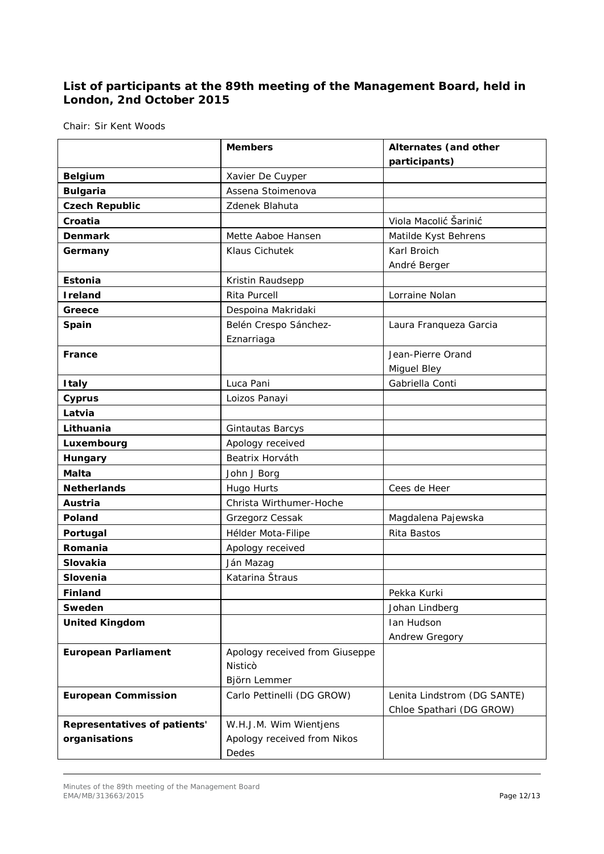#### **List of participants at the 89th meeting of the Management Board, held in London, 2nd October 2015**

Chair: Sir Kent Woods

|                              | <b>Members</b>                 | Alternates (and other       |
|------------------------------|--------------------------------|-----------------------------|
|                              |                                | participants)               |
| <b>Belgium</b>               | Xavier De Cuyper               |                             |
| <b>Bulgaria</b>              | Assena Stoimenova              |                             |
| <b>Czech Republic</b>        | Zdenek Blahuta                 |                             |
| Croatia                      |                                | Viola Macolić Šarinić       |
| <b>Denmark</b>               | Mette Aaboe Hansen             | Matilde Kyst Behrens        |
| Germany                      | Klaus Cichutek                 | Karl Broich                 |
|                              |                                | André Berger                |
| <b>Estonia</b>               | Kristin Raudsepp               |                             |
| <b>Ireland</b>               | <b>Rita Purcell</b>            | Lorraine Nolan              |
| Greece                       | Despoina Makridaki             |                             |
| Spain                        | Belén Crespo Sánchez-          | Laura Franqueza Garcia      |
|                              | Eznarriaga                     |                             |
| France                       |                                | Jean-Pierre Orand           |
|                              |                                | Miguel Bley                 |
| <b>Italy</b>                 | Luca Pani                      | Gabriella Conti             |
| <b>Cyprus</b>                | Loizos Panayi                  |                             |
| Latvia                       |                                |                             |
| Lithuania                    | Gintautas Barcys               |                             |
| Luxembourg                   | Apology received               |                             |
| Hungary                      | Beatrix Horváth                |                             |
| <b>Malta</b>                 | John J Borg                    |                             |
| <b>Netherlands</b>           | Hugo Hurts                     | Cees de Heer                |
| Austria                      | Christa Wirthumer-Hoche        |                             |
| Poland                       | Grzegorz Cessak                | Magdalena Pajewska          |
| Portugal                     | Hélder Mota-Filipe             | Rita Bastos                 |
| Romania                      | Apology received               |                             |
| Slovakia                     | Ján Mazag                      |                             |
| Slovenia                     | Katarina Štraus                |                             |
| Finland                      |                                | Pekka Kurki                 |
| Sweden                       |                                | Johan Lindberg              |
| <b>United Kingdom</b>        |                                | Ian Hudson                  |
|                              |                                | Andrew Gregory              |
| <b>European Parliament</b>   | Apology received from Giuseppe |                             |
|                              | Nisticò                        |                             |
|                              | Björn Lemmer                   |                             |
| <b>European Commission</b>   | Carlo Pettinelli (DG GROW)     | Lenita Lindstrom (DG SANTE) |
|                              |                                | Chloe Spathari (DG GROW)    |
| Representatives of patients' | W.H.J.M. Wim Wientjens         |                             |
| organisations                | Apology received from Nikos    |                             |
|                              | Dedes                          |                             |